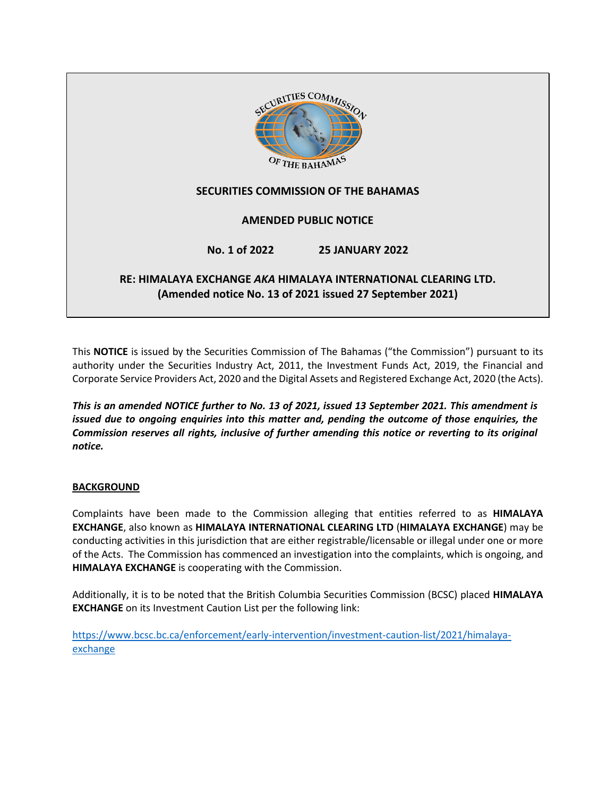

This **NOTICE** is issued by the Securities Commission of The Bahamas ("the Commission") pursuant to its authority under the Securities Industry Act, 2011, the Investment Funds Act, 2019, the Financial and Corporate Service Providers Act, 2020 and the Digital Assets and Registered Exchange Act, 2020 (the Acts).

*This is an amended NOTICE further to No. 13 of 2021, issued 13 September 2021. This amendment is issued due to ongoing enquiries into this matter and, pending the outcome of those enquiries, the Commission reserves all rights, inclusive of further amending this notice or reverting to its original notice.*

## **BACKGROUND**

Complaints have been made to the Commission alleging that entities referred to as **HIMALAYA EXCHANGE**, also known as **HIMALAYA INTERNATIONAL CLEARING LTD** (**HIMALAYA EXCHANGE**) may be conducting activities in this jurisdiction that are either registrable/licensable or illegal under one or more of the Acts. The Commission has commenced an investigation into the complaints, which is ongoing, and **HIMALAYA EXCHANGE** is cooperating with the Commission.

Additionally, it is to be noted that the British Columbia Securities Commission (BCSC) placed **HIMALAYA EXCHANGE** on its Investment Caution List per the following link:

[https://www.bcsc.bc.ca/enforcement/early-intervention/investment-caution-list/2021/himalaya](https://www.bcsc.bc.ca/enforcement/early-intervention/investment-caution-list/2021/himalaya-exchange)[exchange](https://www.bcsc.bc.ca/enforcement/early-intervention/investment-caution-list/2021/himalaya-exchange)